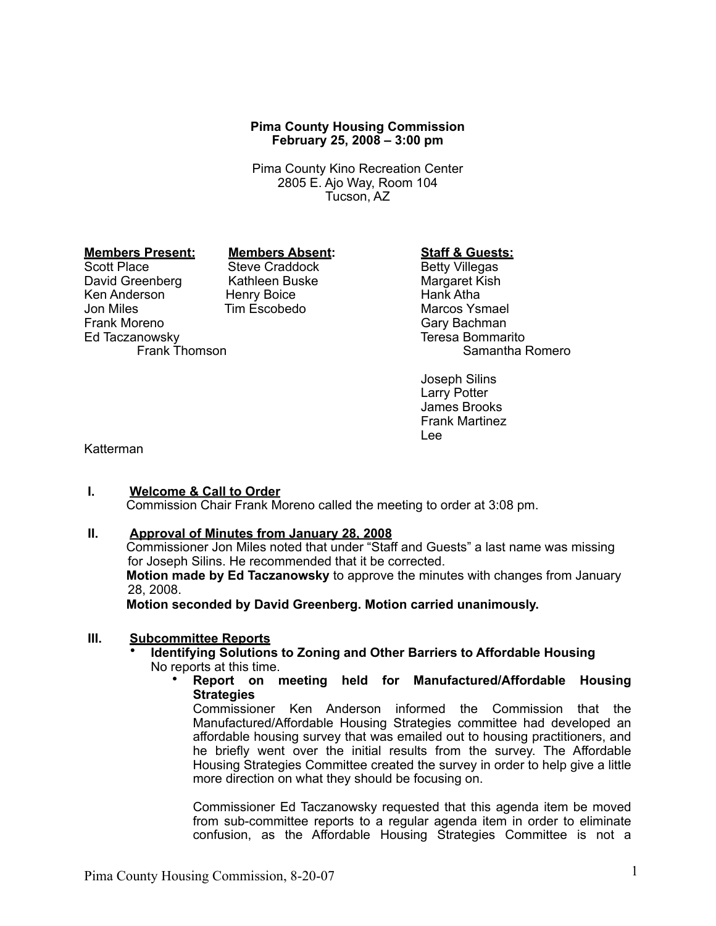# **Pima County Housing Commission February 25, 2008 – 3:00 pm**

Pima County Kino Recreation Center 2805 E. Ajo Way, Room 104 Tucson, AZ

# David Greenberg Kathleen Buske Margaret Kish Ken Anderson Henry Boice Hank Atha Jon Miles Tim Escobedo Marcos Ysmael

**Members Present: Members Absent: Staff & Guests:**<br>Scott Place Steve Craddock Betty Villegas Steve Craddock

Gary Bachman Ed Taczanowsky Teresa Bommarito Samantha Romero

> Joseph Silins Larry Potter James Brooks Frank Martinez Lee

Katterman

## **I. Welcome & Call to Order**

Commission Chair Frank Moreno called the meeting to order at 3:08 pm.

## **II. Approval of Minutes from January 28, 2008**

Commissioner Jon Miles noted that under "Staff and Guests" a last name was missing for Joseph Silins. He recommended that it be corrected.

**Motion made by Ed Taczanowsky** to approve the minutes with changes from January 28, 2008.

**Motion seconded by David Greenberg. Motion carried unanimously.**

# **III. Subcommittee Reports**

- **Identifying Solutions to Zoning and Other Barriers to Affordable Housing** No reports at this time.
	- **Report on meeting held for Manufactured/Affordable Housing Strategies**

Commissioner Ken Anderson informed the Commission that the Manufactured/Affordable Housing Strategies committee had developed an affordable housing survey that was emailed out to housing practitioners, and he briefly went over the initial results from the survey. The Affordable Housing Strategies Committee created the survey in order to help give a little more direction on what they should be focusing on.

Commissioner Ed Taczanowsky requested that this agenda item be moved from sub-committee reports to a regular agenda item in order to eliminate confusion, as the Affordable Housing Strategies Committee is not a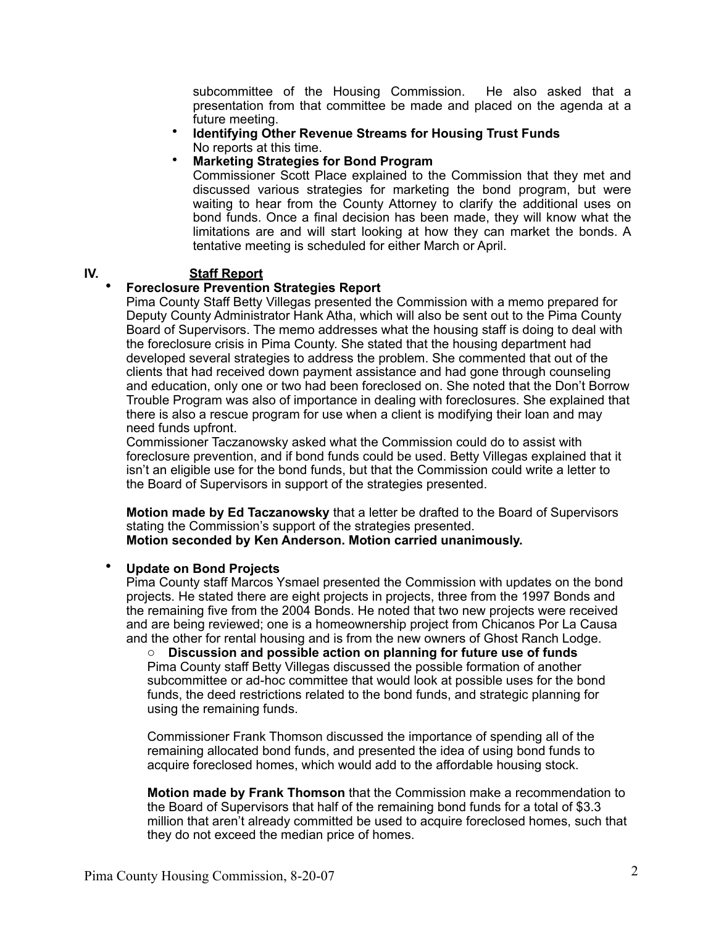subcommittee of the Housing Commission. He also asked that a presentation from that committee be made and placed on the agenda at a future meeting.

- **Identifying Other Revenue Streams for Housing Trust Funds** No reports at this time.
- **Marketing Strategies for Bond Program**

Commissioner Scott Place explained to the Commission that they met and discussed various strategies for marketing the bond program, but were waiting to hear from the County Attorney to clarify the additional uses on bond funds. Once a final decision has been made, they will know what the limitations are and will start looking at how they can market the bonds. A tentative meeting is scheduled for either March or April.

# **IV. Staff Report**

# • **Foreclosure Prevention Strategies Report**

Pima County Staff Betty Villegas presented the Commission with a memo prepared for Deputy County Administrator Hank Atha, which will also be sent out to the Pima County Board of Supervisors. The memo addresses what the housing staff is doing to deal with the foreclosure crisis in Pima County. She stated that the housing department had developed several strategies to address the problem. She commented that out of the clients that had received down payment assistance and had gone through counseling and education, only one or two had been foreclosed on. She noted that the Don't Borrow Trouble Program was also of importance in dealing with foreclosures. She explained that there is also a rescue program for use when a client is modifying their loan and may need funds upfront.

Commissioner Taczanowsky asked what the Commission could do to assist with foreclosure prevention, and if bond funds could be used. Betty Villegas explained that it isn't an eligible use for the bond funds, but that the Commission could write a letter to the Board of Supervisors in support of the strategies presented.

**Motion made by Ed Taczanowsky** that a letter be drafted to the Board of Supervisors stating the Commission's support of the strategies presented. **Motion seconded by Ken Anderson. Motion carried unanimously.** 

# • **Update on Bond Projects**

Pima County staff Marcos Ysmael presented the Commission with updates on the bond projects. He stated there are eight projects in projects, three from the 1997 Bonds and the remaining five from the 2004 Bonds. He noted that two new projects were received and are being reviewed; one is a homeownership project from Chicanos Por La Causa and the other for rental housing and is from the new owners of Ghost Ranch Lodge.

o **Discussion and possible action on planning for future use of funds** Pima County staff Betty Villegas discussed the possible formation of another subcommittee or ad-hoc committee that would look at possible uses for the bond funds, the deed restrictions related to the bond funds, and strategic planning for using the remaining funds.

Commissioner Frank Thomson discussed the importance of spending all of the remaining allocated bond funds, and presented the idea of using bond funds to acquire foreclosed homes, which would add to the affordable housing stock.

**Motion made by Frank Thomson** that the Commission make a recommendation to the Board of Supervisors that half of the remaining bond funds for a total of \$3.3 million that aren't already committed be used to acquire foreclosed homes, such that they do not exceed the median price of homes.